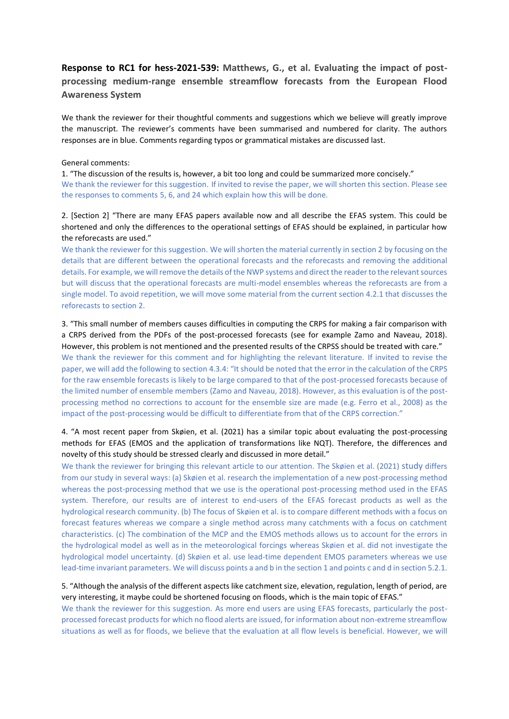# **Response to RC1 for hess-2021-539: Matthews, G., et al. Evaluating the impact of postprocessing medium-range ensemble streamflow forecasts from the European Flood Awareness System**

We thank the reviewer for their thoughtful comments and suggestions which we believe will greatly improve the manuscript. The reviewer's comments have been summarised and numbered for clarity. The authors responses are in blue. Comments regarding typos or grammatical mistakes are discussed last.

#### General comments:

1. "The discussion of the results is, however, a bit too long and could be summarized more concisely." We thank the reviewer for this suggestion. If invited to revise the paper, we will shorten this section. Please see the responses to comments 5, 6, and 24 which explain how this will be done.

# 2. [Section 2] "There are many EFAS papers available now and all describe the EFAS system. This could be shortened and only the differences to the operational settings of EFAS should be explained, in particular how the reforecasts are used."

We thank the reviewer for this suggestion. We will shorten the material currently in section 2 by focusing on the details that are different between the operational forecasts and the reforecasts and removing the additional details. For example, we will remove the details of the NWP systems and direct the reader to the relevant sources but will discuss that the operational forecasts are multi-model ensembles whereas the reforecasts are from a single model. To avoid repetition, we will move some material from the current section 4.2.1 that discusses the reforecasts to section 2.

3. "This small number of members causes difficulties in computing the CRPS for making a fair comparison with a CRPS derived from the PDFs of the post-processed forecasts (see for example Zamo and Naveau, 2018). However, this problem is not mentioned and the presented results of the CRPSS should be treated with care." We thank the reviewer for this comment and for highlighting the relevant literature. If invited to revise the paper, we will add the following to section 4.3.4: "It should be noted that the error in the calculation of the CRPS for the raw ensemble forecasts is likely to be large compared to that of the post-processed forecasts because of the limited number of ensemble members (Zamo and Naveau, 2018). However, as this evaluation is of the postprocessing method no corrections to account for the ensemble size are made (e.g. Ferro et al., 2008) as the impact of the post-processing would be difficult to differentiate from that of the CRPS correction."

# 4. "A most recent paper from Skøien, et al. (2021) has a similar topic about evaluating the post-processing methods for EFAS (EMOS and the application of transformations like NQT). Therefore, the differences and novelty of this study should be stressed clearly and discussed in more detail."

We thank the reviewer for bringing this relevant article to our attention. The Skøien et al. (2021) study differs from our study in several ways: (a) Skøien et al. research the implementation of a new post-processing method whereas the post-processing method that we use is the operational post-processing method used in the EFAS system. Therefore, our results are of interest to end-users of the EFAS forecast products as well as the hydrological research community. (b) The focus of Skøien et al. is to compare different methods with a focus on forecast features whereas we compare a single method across many catchments with a focus on catchment characteristics. (c) The combination of the MCP and the EMOS methods allows us to account for the errors in the hydrological model as well as in the meteorological forcings whereas Skøien et al. did not investigate the hydrological model uncertainty. (d) Skøien et al. use lead-time dependent EMOS parameters whereas we use lead-time invariant parameters. We will discuss points a and b in the section 1 and points c and d in section 5.2.1.

# 5. "Although the analysis of the different aspects like catchment size, elevation, regulation, length of period, are very interesting, it maybe could be shortened focusing on floods, which is the main topic of EFAS."

We thank the reviewer for this suggestion. As more end users are using EFAS forecasts, particularly the postprocessed forecast products for which no flood alerts are issued, for information about non-extreme streamflow situations as well as for floods, we believe that the evaluation at all flow levels is beneficial. However, we will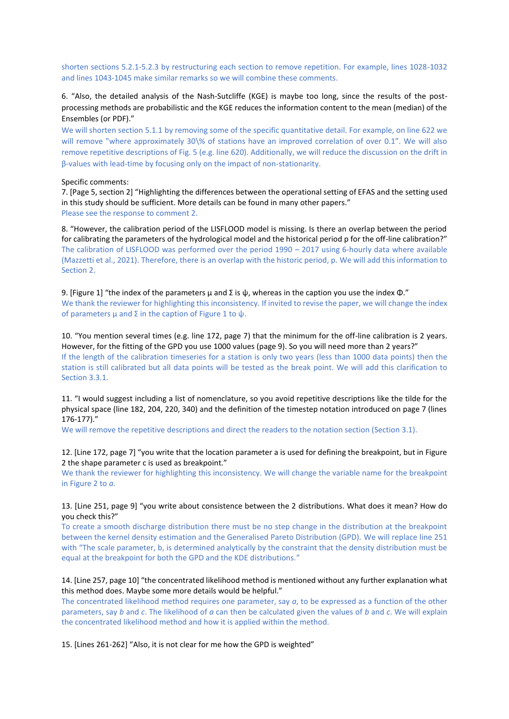shorten sections 5.2.1-5.2.3 by restructuring each section to remove repetition. For example, lines 1028-1032 and lines 1043-1045 make similar remarks so we will combine these comments.

# 6. "Also, the detailed analysis of the Nash-Sutcliffe (KGE) is maybe too long, since the results of the postprocessing methods are probabilistic and the KGE reduces the information content to the mean (median) of the Ensembles (or PDF)."

We will shorten section 5.1.1 by removing some of the specific quantitative detail. For example, on line 622 we will remove "where approximately 30\% of stations have an improved correlation of over 0.1". We will also remove repetitive descriptions of Fig. 5 (e.g. line 620). Additionally, we will reduce the discussion on the drift in β-values with lead-time by focusing only on the impact of non-stationarity.

#### Specific comments:

7. [Page 5, section 2] "Highlighting the differences between the operational setting of EFAS and the setting used in this study should be sufficient. More details can be found in many other papers." Please see the response to comment 2.

8. "However, the calibration period of the LISFLOOD model is missing. Is there an overlap between the period for calibrating the parameters of the hydrological model and the historical period p for the off-line calibration?" The calibration of LISFLOOD was performed over the period 1990 – 2017 using 6-hourly data where available (Mazzetti et al., 2021). Therefore, there is an overlap with the historic period, p. We will add this information to Section 2.

9. [Figure 1] "the index of the parameters  $\mu$  and Σ is  $\psi$ , whereas in the caption you use the index  $\Phi$ ." We thank the reviewer for highlighting this inconsistency. If invited to revise the paper, we will change the index of parameters  $\mu$  and  $\Sigma$  in the caption of Figure 1 to  $\psi$ .

10. "You mention several times (e.g. line 172, page 7) that the minimum for the off-line calibration is 2 years. However, for the fitting of the GPD you use 1000 values (page 9). So you will need more than 2 years?" If the length of the calibration timeseries for a station is only two years (less than 1000 data points) then the station is still calibrated but all data points will be tested as the break point. We will add this clarification to Section 3.3.1.

11. "I would suggest including a list of nomenclature, so you avoid repetitive descriptions like the tilde for the physical space (line 182, 204, 220, 340) and the definition of the timestep notation introduced on page 7 (lines 176-177)."

We will remove the repetitive descriptions and direct the readers to the notation section (Section 3.1).

12. [Line 172, page 7] "you write that the location parameter a is used for defining the breakpoint, but in Figure 2 the shape parameter c is used as breakpoint."

We thank the reviewer for highlighting this inconsistency. We will change the variable name for the breakpoint in Figure 2 to *a*.

#### 13. [Line 251, page 9] "you write about consistence between the 2 distributions. What does it mean? How do you check this?"

To create a smooth discharge distribution there must be no step change in the distribution at the breakpoint between the kernel density estimation and the Generalised Pareto Distribution (GPD). We will replace line 251 with "The scale parameter, b, is determined analytically by the constraint that the density distribution must be equal at the breakpoint for both the GPD and the KDE distributions."

#### 14. [Line 257, page 10] "the concentrated likelihood method is mentioned without any further explanation what this method does. Maybe some more details would be helpful."

The concentrated likelihood method requires one parameter, say *a*, to be expressed as a function of the other parameters, say *b* and *c*. The likelihood of *a* can then be calculated given the values of *b* and *c*. We will explain the concentrated likelihood method and how it is applied within the method.

15. [Lines 261-262] "Also, it is not clear for me how the GPD is weighted"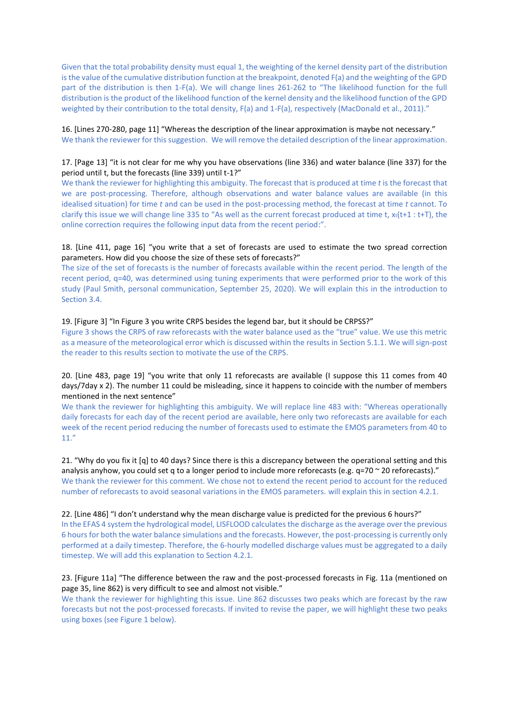Given that the total probability density must equal 1, the weighting of the kernel density part of the distribution is the value of the cumulative distribution function at the breakpoint, denoted F(a) and the weighting of the GPD part of the distribution is then 1-F(a). We will change lines 261-262 to "The likelihood function for the full distribution is the product of the likelihood function of the kernel density and the likelihood function of the GPD weighted by their contribution to the total density, F(a) and 1-F(a), respectively (MacDonald et al., 2011)."

16. [Lines 270-280, page 11] "Whereas the description of the linear approximation is maybe not necessary." We thank the reviewer for this suggestion. We will remove the detailed description of the linear approximation.

## 17. [Page 13] "it is not clear for me why you have observations (line 336) and water balance (line 337) for the period until t, but the forecasts (line 339) until t-1?"

We thank the reviewer for highlighting this ambiguity. The forecast that is produced at time *t* is the forecast that we are post-processing. Therefore, although observations and water balance values are available (in this idealised situation) for time *t* and can be used in the post-processing method, the forecast at time *t* cannot. To clarify this issue we will change line 335 to "As well as the current forecast produced at time t,  $x_t(t+1 : t+T)$ , the online correction requires the following input data from the recent period:".

## 18. [Line 411, page 16] "you write that a set of forecasts are used to estimate the two spread correction parameters. How did you choose the size of these sets of forecasts?"

The size of the set of forecasts is the number of forecasts available within the recent period. The length of the recent period, q=40, was determined using tuning experiments that were performed prior to the work of this study (Paul Smith, personal communication, September 25, 2020). We will explain this in the introduction to Section 3.4.

#### 19. [Figure 3] "In Figure 3 you write CRPS besides the legend bar, but it should be CRPSS?"

Figure 3 shows the CRPS of raw reforecasts with the water balance used as the "true" value. We use this metric as a measure of the meteorological error which is discussed within the results in Section 5.1.1. We will sign-post the reader to this results section to motivate the use of the CRPS.

## 20. [Line 483, page 19] "you write that only 11 reforecasts are available (I suppose this 11 comes from 40 days/7day x 2). The number 11 could be misleading, since it happens to coincide with the number of members mentioned in the next sentence"

We thank the reviewer for highlighting this ambiguity. We will replace line 483 with: "Whereas operationally daily forecasts for each day of the recent period are available, here only two reforecasts are available for each week of the recent period reducing the number of forecasts used to estimate the EMOS parameters from 40 to 11."

21. "Why do you fix it [q] to 40 days? Since there is this a discrepancy between the operational setting and this analysis anyhow, you could set q to a longer period to include more reforecasts (e.g. q=70 ~ 20 reforecasts)." We thank the reviewer for this comment. We chose not to extend the recent period to account for the reduced number of reforecasts to avoid seasonal variations in the EMOS parameters. will explain this in section 4.2.1.

## 22. [Line 486] "I don't understand why the mean discharge value is predicted for the previous 6 hours?"

In the EFAS 4 system the hydrological model, LISFLOOD calculates the discharge as the average over the previous 6 hours for both the water balance simulations and the forecasts. However, the post-processing is currently only performed at a daily timestep. Therefore, the 6-hourly modelled discharge values must be aggregated to a daily timestep. We will add this explanation to Section 4.2.1.

## 23. [Figure 11a] "The difference between the raw and the post-processed forecasts in Fig. 11a (mentioned on page 35, line 862) is very difficult to see and almost not visible."

We thank the reviewer for highlighting this issue. Line 862 discusses two peaks which are forecast by the raw forecasts but not the post-processed forecasts. If invited to revise the paper, we will highlight these two peaks using boxes (see Figure 1 below).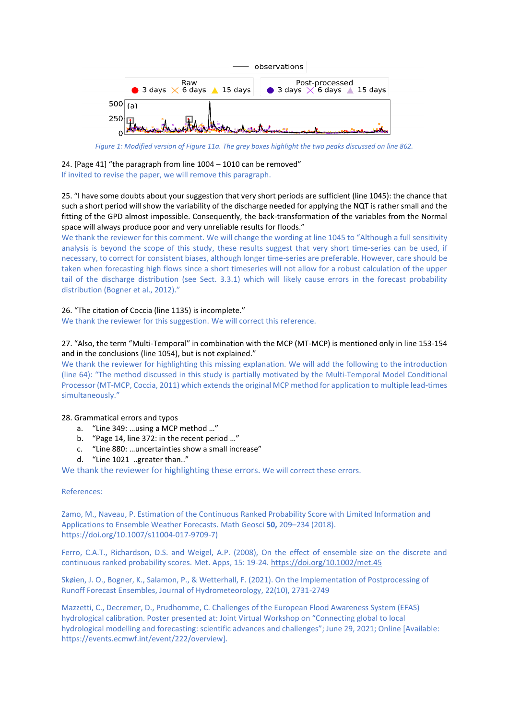

*Figure 1: Modified version of Figure 11a. The grey boxes highlight the two peaks discussed on line 862.*

24. [Page 41] "the paragraph from line 1004 – 1010 can be removed" If invited to revise the paper, we will remove this paragraph.

25. "I have some doubts about your suggestion that very short periods are sufficient (line 1045): the chance that such a short period will show the variability of the discharge needed for applying the NQT is rather small and the fitting of the GPD almost impossible. Consequently, the back-transformation of the variables from the Normal space will always produce poor and very unreliable results for floods."

We thank the reviewer for this comment. We will change the wording at line 1045 to "Although a full sensitivity analysis is beyond the scope of this study, these results suggest that very short time-series can be used, if necessary, to correct for consistent biases, although longer time-series are preferable. However, care should be taken when forecasting high flows since a short timeseries will not allow for a robust calculation of the upper tail of the discharge distribution (see Sect. 3.3.1) which will likely cause errors in the forecast probability distribution (Bogner et al., 2012)."

# 26. "The citation of Coccia (line 1135) is incomplete."

We thank the reviewer for this suggestion. We will correct this reference.

# 27. "Also, the term "Multi-Temporal" in combination with the MCP (MT-MCP) is mentioned only in line 153-154 and in the conclusions (line 1054), but is not explained."

We thank the reviewer for highlighting this missing explanation. We will add the following to the introduction (line 64): "The method discussed in this study is partially motivated by the Multi-Temporal Model Conditional Processor (MT-MCP, Coccia, 2011) which extends the original MCP method for application to multiple lead-times simultaneously."

## 28. Grammatical errors and typos

- a. "Line 349: …using a MCP method …"
- b. "Page 14, line 372: in the recent period …"
- c. "Line 880: …uncertainties show a small increase"
- d. "Line 1021 ..greater than.."

We thank the reviewer for highlighting these errors. We will correct these errors.

## References:

Zamo, M., Naveau, P. Estimation of the Continuous Ranked Probability Score with Limited Information and Applications to Ensemble Weather Forecasts. Math Geosci **50,** 209–234 (2018). https://doi.org/10.1007/s11004-017-9709-7)

Ferro, C.A.T., Richardson, D.S. and Weigel, A.P. (2008), On the effect of ensemble size on the discrete and continuous ranked probability scores. Met. Apps, 15: 19-24. <https://doi.org/10.1002/met.45>

Skøien, J. O., Bogner, K., Salamon, P., & Wetterhall, F. (2021). On the Implementation of Postprocessing of Runoff Forecast Ensembles, Journal of Hydrometeorology, 22(10), 2731-2749

Mazzetti, C., Decremer, D., Prudhomme, C. Challenges of the European Flood Awareness System (EFAS) hydrological calibration. Poster presented at: Joint Virtual Workshop on "Connecting global to local hydrological modelling and forecasting: scientific advances and challenges"; June 29, 2021; Online [Available: [https://events.ecmwf.int/event/222/overview\]](https://events.ecmwf.int/event/222/overview).